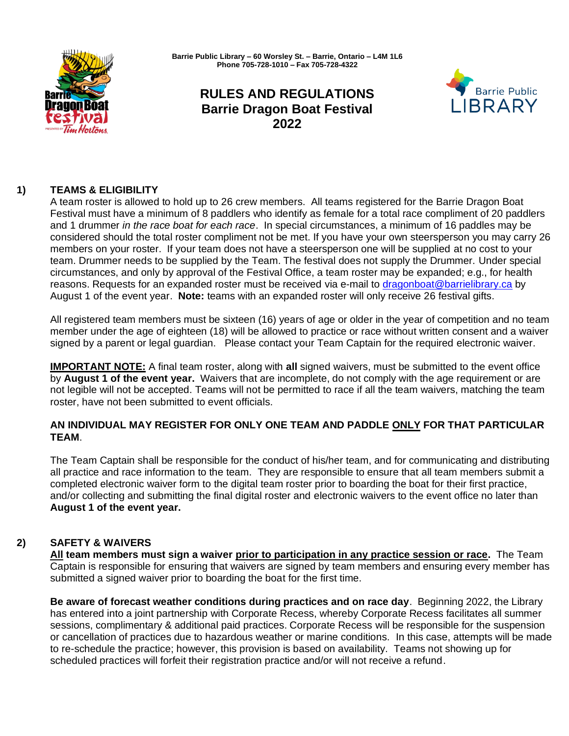

**Barrie Public Library – 60 Worsley St. – Barrie, Ontario – L4M 1L6 Phone 705-728-1010 – Fax 705-728-4322**

# **RULES AND REGULATIONS Barrie Dragon Boat Festival 2022**



# **1) TEAMS & ELIGIBILITY**

A team roster is allowed to hold up to 26 crew members. All teams registered for the Barrie Dragon Boat Festival must have a minimum of 8 paddlers who identify as female for a total race compliment of 20 paddlers and 1 drummer *in the race boat for each race*. In special circumstances, a minimum of 16 paddles may be considered should the total roster compliment not be met. If you have your own steersperson you may carry 26 members on your roster. If your team does not have a steersperson one will be supplied at no cost to your team. Drummer needs to be supplied by the Team. The festival does not supply the Drummer. Under special circumstances, and only by approval of the Festival Office, a team roster may be expanded; e.g., for health reasons. Requests for an expanded roster must be received via e-mail to [dragonboat@barrielibrary.ca](mailto:dragonboat@barrielibrary.ca) by August 1 of the event year. **Note:** teams with an expanded roster will only receive 26 festival gifts.

All registered team members must be sixteen (16) years of age or older in the year of competition and no team member under the age of eighteen (18) will be allowed to practice or race without written consent and a waiver signed by a parent or legal guardian. Please contact your Team Captain for the required electronic waiver.

**IMPORTANT NOTE:** A final team roster, along with **all** signed waivers, must be submitted to the event office by **August 1 of the event year.** Waivers that are incomplete, do not comply with the age requirement or are not legible will not be accepted. Teams will not be permitted to race if all the team waivers, matching the team roster, have not been submitted to event officials.

# **AN INDIVIDUAL MAY REGISTER FOR ONLY ONE TEAM AND PADDLE ONLY FOR THAT PARTICULAR TEAM**.

The Team Captain shall be responsible for the conduct of his/her team, and for communicating and distributing all practice and race information to the team. They are responsible to ensure that all team members submit a completed electronic waiver form to the digital team roster prior to boarding the boat for their first practice, and/or collecting and submitting the final digital roster and electronic waivers to the event office no later than **August 1 of the event year.**

# **2) SAFETY & WAIVERS**

**All team members must sign a waiver prior to participation in any practice session or race.** The Team Captain is responsible for ensuring that waivers are signed by team members and ensuring every member has submitted a signed waiver prior to boarding the boat for the first time.

**Be aware of forecast weather conditions during practices and on race day**. Beginning 2022, the Library has entered into a joint partnership with Corporate Recess, whereby Corporate Recess facilitates all summer sessions, complimentary & additional paid practices. Corporate Recess will be responsible for the suspension or cancellation of practices due to hazardous weather or marine conditions. In this case, attempts will be made to re-schedule the practice; however, this provision is based on availability. Teams not showing up for scheduled practices will forfeit their registration practice and/or will not receive a refund.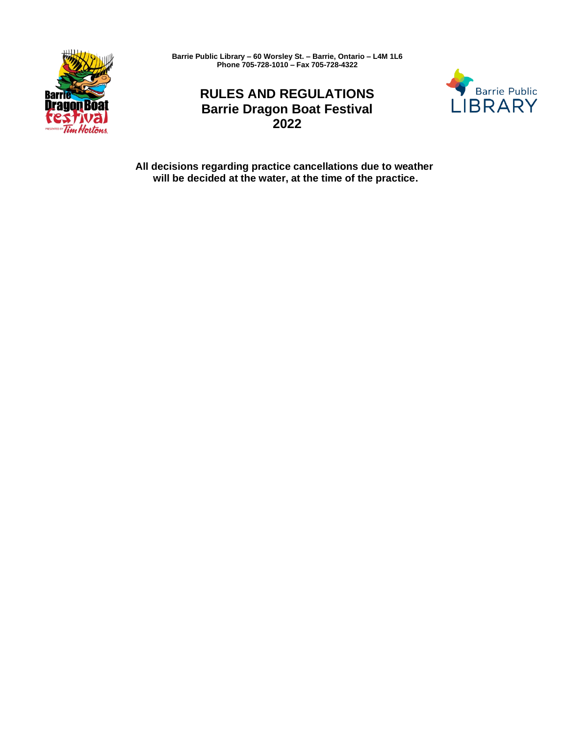

**Barrie Public Library – 60 Worsley St. – Barrie, Ontario – L4M 1L6 Phone 705-728-1010 – Fax 705-728-4322**

# **RULES AND REGULATIONS Barrie Dragon Boat Festival 2022**



**All decisions regarding practice cancellations due to weather will be decided at the water, at the time of the practice.**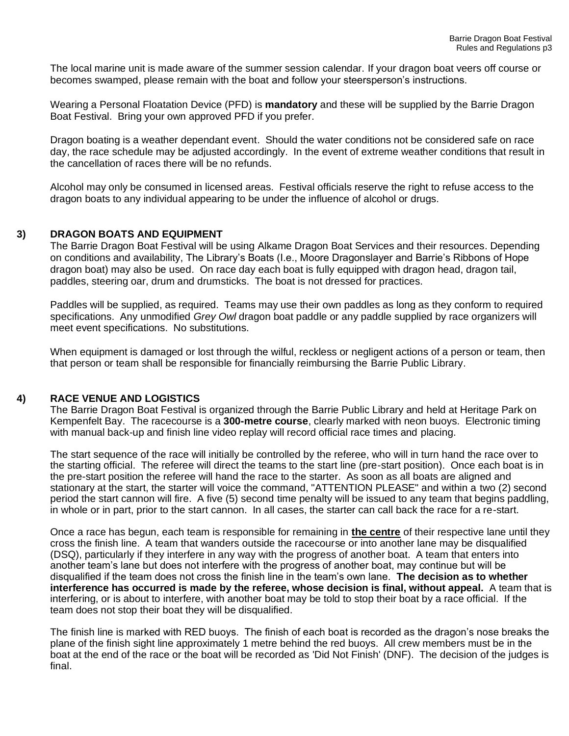The local marine unit is made aware of the summer session calendar. If your dragon boat veers off course or becomes swamped, please remain with the boat and follow your steersperson's instructions.

Wearing a Personal Floatation Device (PFD) is **mandatory** and these will be supplied by the Barrie Dragon Boat Festival. Bring your own approved PFD if you prefer.

Dragon boating is a weather dependant event. Should the water conditions not be considered safe on race day, the race schedule may be adjusted accordingly. In the event of extreme weather conditions that result in the cancellation of races there will be no refunds.

Alcohol may only be consumed in licensed areas. Festival officials reserve the right to refuse access to the dragon boats to any individual appearing to be under the influence of alcohol or drugs.

#### **3) DRAGON BOATS AND EQUIPMENT**

The Barrie Dragon Boat Festival will be using Alkame Dragon Boat Services and their resources. Depending on conditions and availability, The Library's Boats (I.e., Moore Dragonslayer and Barrie's Ribbons of Hope dragon boat) may also be used. On race day each boat is fully equipped with dragon head, dragon tail, paddles, steering oar, drum and drumsticks. The boat is not dressed for practices.

Paddles will be supplied, as required. Teams may use their own paddles as long as they conform to required specifications. Any unmodified *Grey Owl* dragon boat paddle or any paddle supplied by race organizers will meet event specifications. No substitutions.

When equipment is damaged or lost through the wilful, reckless or negligent actions of a person or team, then that person or team shall be responsible for financially reimbursing the Barrie Public Library.

### **4) RACE VENUE AND LOGISTICS**

The Barrie Dragon Boat Festival is organized through the Barrie Public Library and held at Heritage Park on Kempenfelt Bay. The racecourse is a **300-metre course**, clearly marked with neon buoys. Electronic timing with manual back-up and finish line video replay will record official race times and placing.

The start sequence of the race will initially be controlled by the referee, who will in turn hand the race over to the starting official. The referee will direct the teams to the start line (pre-start position). Once each boat is in the pre-start position the referee will hand the race to the starter. As soon as all boats are aligned and stationary at the start, the starter will voice the command, "ATTENTION PLEASE" and within a two (2) second period the start cannon will fire. A five (5) second time penalty will be issued to any team that begins paddling, in whole or in part, prior to the start cannon. In all cases, the starter can call back the race for a re-start.

Once a race has begun, each team is responsible for remaining in **the centre** of their respective lane until they cross the finish line. A team that wanders outside the racecourse or into another lane may be disqualified (DSQ), particularly if they interfere in any way with the progress of another boat. A team that enters into another team's lane but does not interfere with the progress of another boat, may continue but will be disqualified if the team does not cross the finish line in the team's own lane. **The decision as to whether interference has occurred is made by the referee, whose decision is final, without appeal.** A team that is interfering, or is about to interfere, with another boat may be told to stop their boat by a race official. If the team does not stop their boat they will be disqualified.

The finish line is marked with RED buoys. The finish of each boat is recorded as the dragon's nose breaks the plane of the finish sight line approximately 1 metre behind the red buoys. All crew members must be in the boat at the end of the race or the boat will be recorded as 'Did Not Finish' (DNF). The decision of the judges is final.